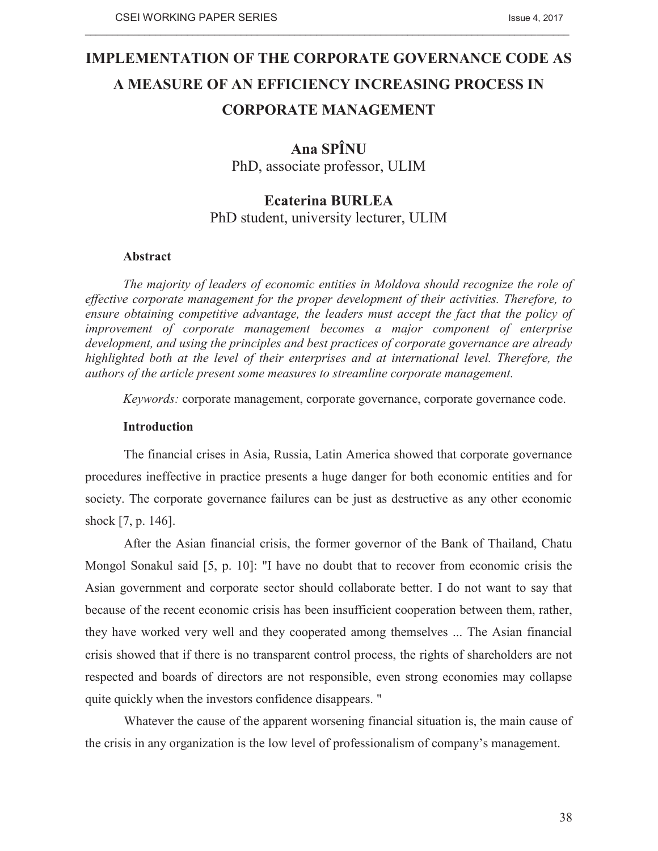# **IMPLEMENTATION OF THE CORPORATE GOVERNANCE CODE AS A MEASURE OF AN EFFICIENCY INCREASING PROCESS IN CORPORATE MANAGEMENT**

 $\_$  , and the state of the state of the state of the state of the state of the state of the state of the state of the state of the state of the state of the state of the state of the state of the state of the state of the

# **Ana SPÎNU**

PhD, associate professor, ULIM

# **Ecaterina BURLEA**  PhD student, university lecturer, ULIM

## **Abstract**

*The majority of leaders of economic entities in Moldova should recognize the role of effective corporate management for the proper development of their activities. Therefore, to ensure obtaining competitive advantage, the leaders must accept the fact that the policy of improvement of corporate management becomes a major component of enterprise development, and using the principles and best practices of corporate governance are already highlighted both at the level of their enterprises and at international level. Therefore, the authors of the article present some measures to streamline corporate management.* 

*Keywords:* corporate management, corporate governance, corporate governance code.

## **Introduction**

The financial crises in Asia, Russia, Latin America showed that corporate governance procedures ineffective in practice presents a huge danger for both economic entities and for society. The corporate governance failures can be just as destructive as any other economic shock [7, p. 146].

After the Asian financial crisis, the former governor of the Bank of Thailand, Chatu Mongol Sonakul said [5, p. 10]: "I have no doubt that to recover from economic crisis the Asian government and corporate sector should collaborate better. I do not want to say that because of the recent economic crisis has been insufficient cooperation between them, rather, they have worked very well and they cooperated among themselves ... The Asian financial crisis showed that if there is no transparent control process, the rights of shareholders are not respected and boards of directors are not responsible, even strong economies may collapse quite quickly when the investors confidence disappears. "

Whatever the cause of the apparent worsening financial situation is, the main cause of the crisis in any organization is the low level of professionalism of company's management.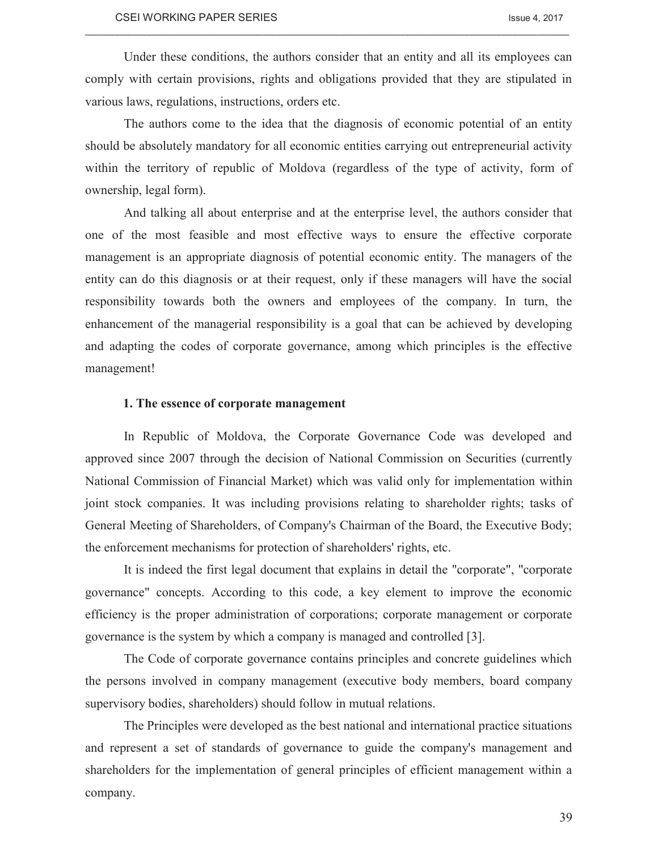Under these conditions, the authors consider that an entity and all its employees can comply with certain provisions, rights and obligations provided that they are stipulated in various laws, regulations, instructions, orders etc.

 $\_$  , and the state of the state of the state of the state of the state of the state of the state of the state of the state of the state of the state of the state of the state of the state of the state of the state of the

The authors come to the idea that the diagnosis of economic potential of an entity should be absolutely mandatory for all economic entities carrying out entrepreneurial activity within the territory of republic of Moldova (regardless of the type of activity, form of ownership, legal form).

And talking all about enterprise and at the enterprise level, the authors consider that one of the most feasible and most effective ways to ensure the effective corporate management is an appropriate diagnosis of potential economic entity. The managers of the entity can do this diagnosis or at their request, only if these managers will have the social responsibility towards both the owners and employees of the company. In turn, the enhancement of the managerial responsibility is a goal that can be achieved by developing and adapting the codes of corporate governance, among which principles is the effective management!

#### **1. The essence of corporate management**

In Republic of Moldova, the Corporate Governance Code was developed and approved since 2007 through the decision of National Commission on Securities (currently National Commission of Financial Market) which was valid only for implementation within joint stock companies. It was including provisions relating to shareholder rights; tasks of General Meeting of Shareholders, of Company's Chairman of the Board, the Executive Body; the enforcement mechanisms for protection of shareholders' rights, etc.

It is indeed the first legal document that explains in detail the "corporate", "corporate governance" concepts. According to this code, a key element to improve the economic efficiency is the proper administration of corporations; corporate management or corporate governance is the system by which a company is managed and controlled [3].

The Code of corporate governance contains principles and concrete guidelines which the persons involved in company management (executive body members, board company supervisory bodies, shareholders) should follow in mutual relations.

The Principles were developed as the best national and international practice situations and represent a set of standards of governance to guide the company's management and shareholders for the implementation of general principles of efficient management within a company.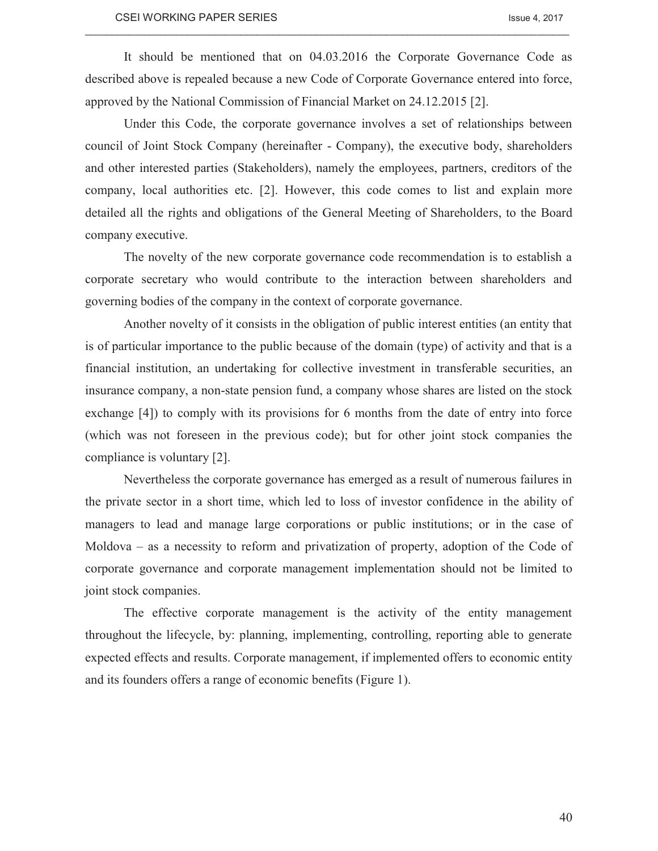It should be mentioned that on 04.03.2016 the Corporate Governance Code as described above is repealed because a new Code of Corporate Governance entered into force, approved by the National Commission of Financial Market on 24.12.2015 [2].

 $\_$  , and the state of the state of the state of the state of the state of the state of the state of the state of the state of the state of the state of the state of the state of the state of the state of the state of the

Under this Code, the corporate governance involves a set of relationships between council of Joint Stock Company (hereinafter - Company), the executive body, shareholders and other interested parties (Stakeholders), namely the employees, partners, creditors of the company, local authorities etc. [2]. However, this code comes to list and explain more detailed all the rights and obligations of the General Meeting of Shareholders, to the Board company executive.

The novelty of the new corporate governance code recommendation is to establish a corporate secretary who would contribute to the interaction between shareholders and governing bodies of the company in the context of corporate governance.

Another novelty of it consists in the obligation of public interest entities (an entity that is of particular importance to the public because of the domain (type) of activity and that is a financial institution, an undertaking for collective investment in transferable securities, an insurance company, a non-state pension fund, a company whose shares are listed on the stock exchange [4]) to comply with its provisions for 6 months from the date of entry into force (which was not foreseen in the previous code); but for other joint stock companies the compliance is voluntary [2].

Nevertheless the corporate governance has emerged as a result of numerous failures in the private sector in a short time, which led to loss of investor confidence in the ability of managers to lead and manage large corporations or public institutions; or in the case of Moldova – as a necessity to reform and privatization of property, adoption of the Code of corporate governance and corporate management implementation should not be limited to joint stock companies.

The effective corporate management is the activity of the entity management throughout the lifecycle, by: planning, implementing, controlling, reporting able to generate expected effects and results. Corporate management, if implemented offers to economic entity and its founders offers a range of economic benefits (Figure 1).

40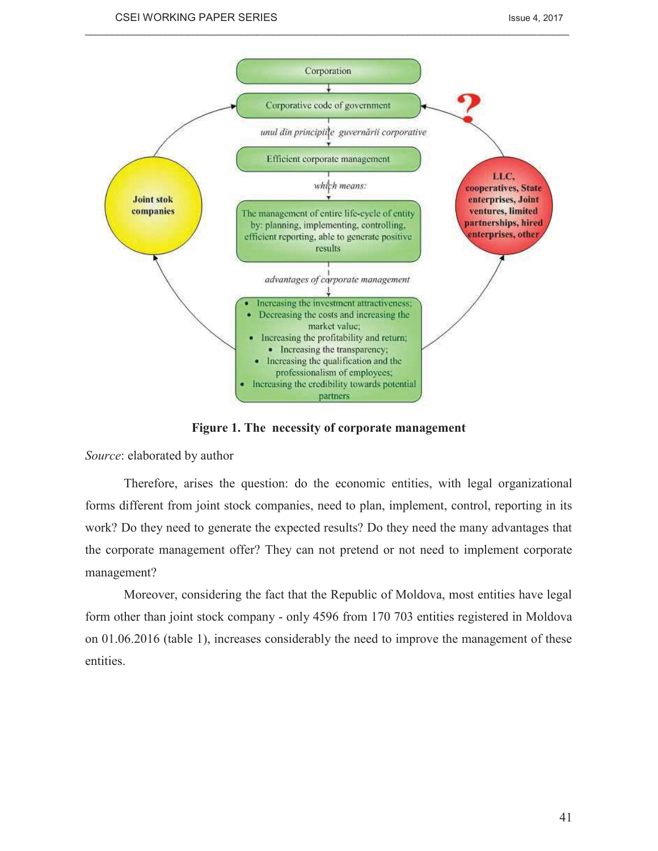

 $\_$  , and the state of the state of the state of the state of the state of the state of the state of the state of the state of the state of the state of the state of the state of the state of the state of the state of the

**Figure 1. The necessity of corporate management** 

*Source*: elaborated by author

Therefore, arises the question: do the economic entities, with legal organizational forms different from joint stock companies, need to plan, implement, control, reporting in its work? Do they need to generate the expected results? Do they need the many advantages that the corporate management offer? They can not pretend or not need to implement corporate management?

Moreover, considering the fact that the Republic of Moldova, most entities have legal form other than joint stock company - only 4596 from 170 703 entities registered in Moldova on 01.06.2016 (table 1), increases considerably the need to improve the management of these entities.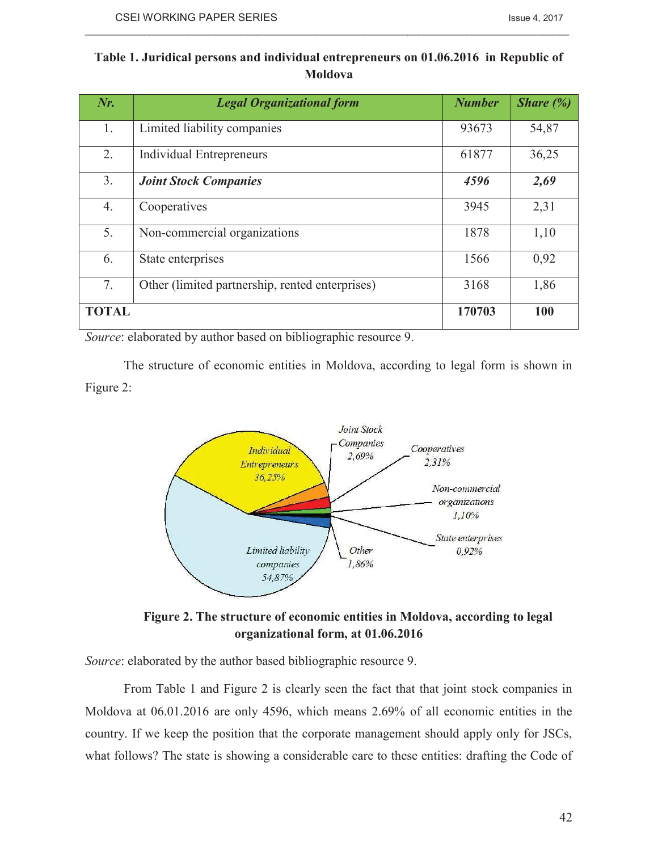| Table 1. Juridical persons and individual entrepreneurs on 01.06.2016 in Republic of |
|--------------------------------------------------------------------------------------|
| <b>Moldova</b>                                                                       |

 $\_$  , and the state of the state of the state of the state of the state of the state of the state of the state of the state of the state of the state of the state of the state of the state of the state of the state of the

| $Nr$ .       | <b>Legal Organizational form</b>                | <b>Number</b> | <i>Share</i> $(\%)$ |
|--------------|-------------------------------------------------|---------------|---------------------|
| 1.           | Limited liability companies                     | 93673         | 54,87               |
| 2.           | Individual Entrepreneurs                        | 61877         | 36,25               |
| 3.           | <b>Joint Stock Companies</b>                    | 4596          | 2,69                |
| 4.           | Cooperatives                                    | 3945          | 2,31                |
| 5.           | Non-commercial organizations                    | 1878          | 1,10                |
| 6.           | State enterprises                               | 1566          | 0,92                |
| 7.           | Other (limited partnership, rented enterprises) | 3168          | 1,86                |
| <b>TOTAL</b> |                                                 | 170703        | 100                 |

*Source*: elaborated by author based on bibliographic resource 9.

The structure of economic entities in Moldova, according to legal form is shown in Figure 2:



**Figure 2. The structure of economic entities in Moldova, according to legal organizational form, at 01.06.2016** 

*Source*: elaborated by the author based bibliographic resource 9.

From Table 1 and Figure 2 is clearly seen the fact that that joint stock companies in Moldova at 06.01.2016 are only 4596, which means 2.69% of all economic entities in the country. If we keep the position that the corporate management should apply only for JSCs, what follows? The state is showing a considerable care to these entities: drafting the Code of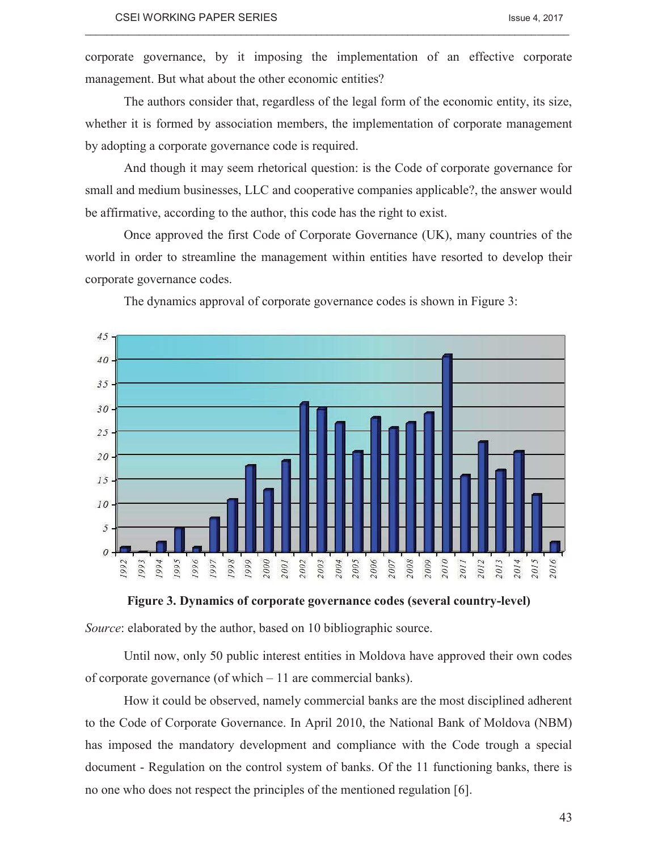corporate governance, by it imposing the implementation of an effective corporate management. But what about the other economic entities?

 $\_$  , and the state of the state of the state of the state of the state of the state of the state of the state of the state of the state of the state of the state of the state of the state of the state of the state of the

The authors consider that, regardless of the legal form of the economic entity, its size, whether it is formed by association members, the implementation of corporate management by adopting a corporate governance code is required.

And though it may seem rhetorical question: is the Code of corporate governance for small and medium businesses, LLC and cooperative companies applicable?, the answer would be affirmative, according to the author, this code has the right to exist.

Once approved the first Code of Corporate Governance (UK), many countries of the world in order to streamline the management within entities have resorted to develop their corporate governance codes.



The dynamics approval of corporate governance codes is shown in Figure 3:

**Figure 3. Dynamics of corporate governance codes (several country-level)** 

*Source*: elaborated by the author, based on 10 bibliographic source.

Until now, only 50 public interest entities in Moldova have approved their own codes of corporate governance (of which – 11 are commercial banks).

How it could be observed, namely commercial banks are the most disciplined adherent to the Code of Corporate Governance. In April 2010, the National Bank of Moldova (NBM) has imposed the mandatory development and compliance with the Code trough a special document - Regulation on the control system of banks. Of the 11 functioning banks, there is no one who does not respect the principles of the mentioned regulation [6].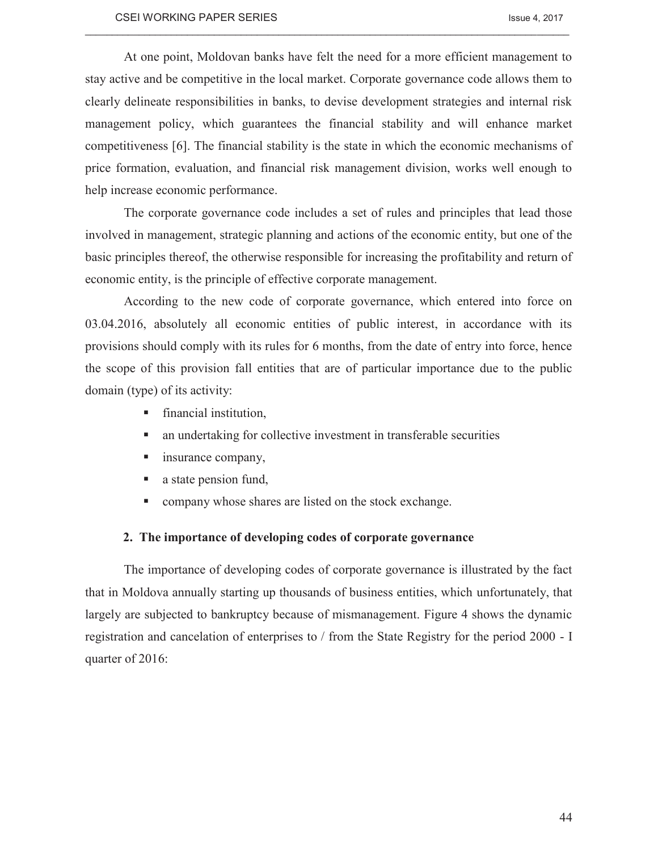At one point, Moldovan banks have felt the need for a more efficient management to stay active and be competitive in the local market. Corporate governance code allows them to clearly delineate responsibilities in banks, to devise development strategies and internal risk management policy, which guarantees the financial stability and will enhance market competitiveness [6]. The financial stability is the state in which the economic mechanisms of price formation, evaluation, and financial risk management division, works well enough to help increase economic performance.

 $\_$  , and the state of the state of the state of the state of the state of the state of the state of the state of the state of the state of the state of the state of the state of the state of the state of the state of the

The corporate governance code includes a set of rules and principles that lead those involved in management, strategic planning and actions of the economic entity, but one of the basic principles thereof, the otherwise responsible for increasing the profitability and return of economic entity, is the principle of effective corporate management.

According to the new code of corporate governance, which entered into force on 03.04.2016, absolutely all economic entities of public interest, in accordance with its provisions should comply with its rules for 6 months, from the date of entry into force, hence the scope of this provision fall entities that are of particular importance due to the public domain (type) of its activity:

- $\blacksquare$  financial institution,
- an undertaking for collective investment in transferable securities
- $\blacksquare$  insurance company,
- $\blacksquare$  a state pension fund,
- company whose shares are listed on the stock exchange.

### **2. The importance of developing codes of corporate governance**

The importance of developing codes of corporate governance is illustrated by the fact that in Moldova annually starting up thousands of business entities, which unfortunately, that largely are subjected to bankruptcy because of mismanagement. Figure 4 shows the dynamic registration and cancelation of enterprises to / from the State Registry for the period 2000 - I quarter of 2016: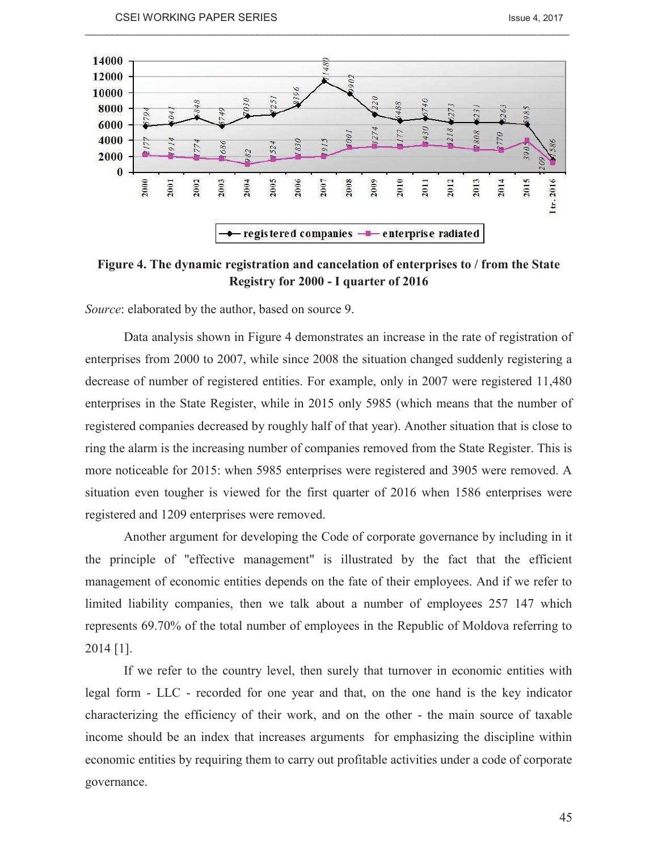

 $\_$  , and the state of the state of the state of the state of the state of the state of the state of the state of the state of the state of the state of the state of the state of the state of the state of the state of the

**Figure 4. The dynamic registration and cancelation of enterprises to / from the State Registry for 2000 - I quarter of 2016** 

*Source*: elaborated by the author, based on source 9.

Data analysis shown in Figure 4 demonstrates an increase in the rate of registration of enterprises from 2000 to 2007, while since 2008 the situation changed suddenly registering a decrease of number of registered entities. For example, only in 2007 were registered 11,480 enterprises in the State Register, while in 2015 only 5985 (which means that the number of registered companies decreased by roughly half of that year). Another situation that is close to ring the alarm is the increasing number of companies removed from the State Register. This is more noticeable for 2015: when 5985 enterprises were registered and 3905 were removed. A situation even tougher is viewed for the first quarter of 2016 when 1586 enterprises were registered and 1209 enterprises were removed.

Another argument for developing the Code of corporate governance by including in it the principle of "effective management" is illustrated by the fact that the efficient management of economic entities depends on the fate of their employees. And if we refer to limited liability companies, then we talk about a number of employees 257 147 which represents 69.70% of the total number of employees in the Republic of Moldova referring to 2014 [1].

If we refer to the country level, then surely that turnover in economic entities with legal form - LLC - recorded for one year and that, on the one hand is the key indicator characterizing the efficiency of their work, and on the other - the main source of taxable income should be an index that increases arguments for emphasizing the discipline within economic entities by requiring them to carry out profitable activities under a code of corporate governance.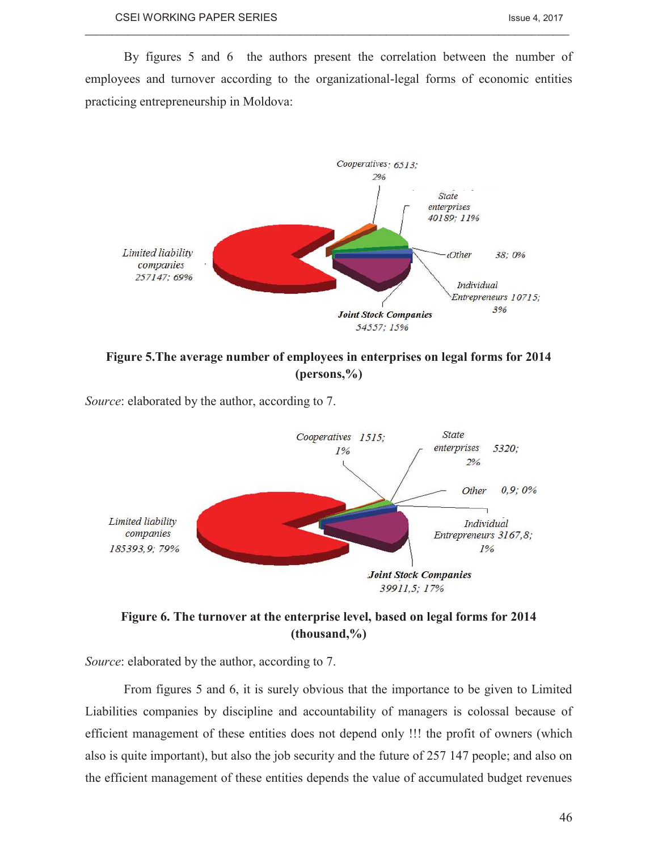By figures 5 and 6 the authors present the correlation between the number of employees and turnover according to the organizational-legal forms of economic entities practicing entrepreneurship in Moldova:

 $\_$  , and the state of the state of the state of the state of the state of the state of the state of the state of the state of the state of the state of the state of the state of the state of the state of the state of the



**Figure 5.The average number of employees in enterprises on legal forms for 2014 (persons,%)** 

*Source*: elaborated by the author, according to 7.



**Figure 6. The turnover at the enterprise level, based on legal forms for 2014 (thousand,%)** 

*Source*: elaborated by the author, according to 7.

From figures 5 and 6, it is surely obvious that the importance to be given to Limited Liabilities companies by discipline and accountability of managers is colossal because of efficient management of these entities does not depend only !!! the profit of owners (which also is quite important), but also the job security and the future of 257 147 people; and also on the efficient management of these entities depends the value of accumulated budget revenues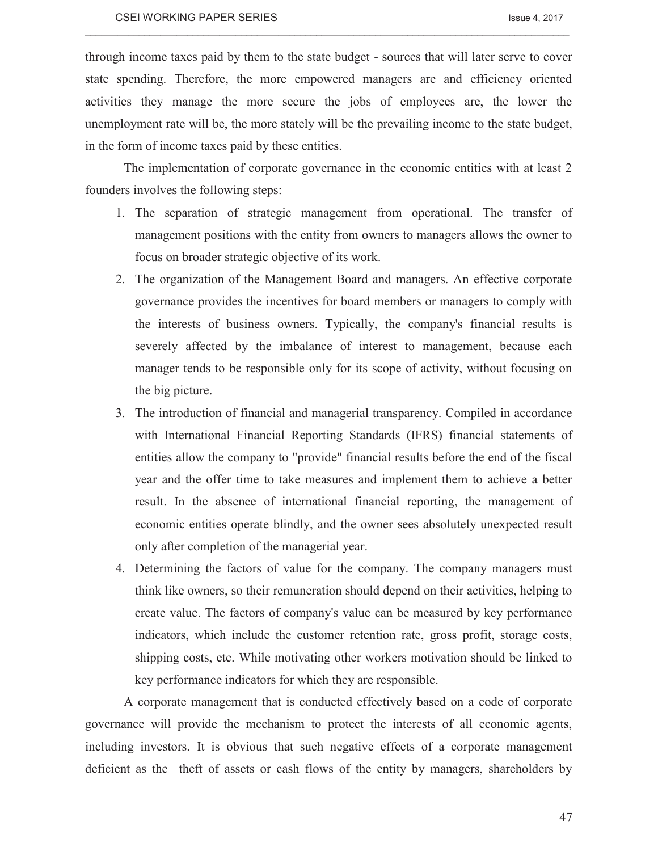through income taxes paid by them to the state budget - sources that will later serve to cover state spending. Therefore, the more empowered managers are and efficiency oriented activities they manage the more secure the jobs of employees are, the lower the unemployment rate will be, the more stately will be the prevailing income to the state budget, in the form of income taxes paid by these entities.

 $\_$  , and the state of the state of the state of the state of the state of the state of the state of the state of the state of the state of the state of the state of the state of the state of the state of the state of the

The implementation of corporate governance in the economic entities with at least 2 founders involves the following steps:

- 1. The separation of strategic management from operational. The transfer of management positions with the entity from owners to managers allows the owner to focus on broader strategic objective of its work.
- 2. The organization of the Management Board and managers. An effective corporate governance provides the incentives for board members or managers to comply with the interests of business owners. Typically, the company's financial results is severely affected by the imbalance of interest to management, because each manager tends to be responsible only for its scope of activity, without focusing on the big picture.
- 3. The introduction of financial and managerial transparency. Compiled in accordance with International Financial Reporting Standards (IFRS) financial statements of entities allow the company to "provide" financial results before the end of the fiscal year and the offer time to take measures and implement them to achieve a better result. In the absence of international financial reporting, the management of economic entities operate blindly, and the owner sees absolutely unexpected result only after completion of the managerial year.
- 4. Determining the factors of value for the company. The company managers must think like owners, so their remuneration should depend on their activities, helping to create value. The factors of company's value can be measured by key performance indicators, which include the customer retention rate, gross profit, storage costs, shipping costs, etc. While motivating other workers motivation should be linked to key performance indicators for which they are responsible.

A corporate management that is conducted effectively based on a code of corporate governance will provide the mechanism to protect the interests of all economic agents, including investors. It is obvious that such negative effects of a corporate management deficient as the theft of assets or cash flows of the entity by managers, shareholders by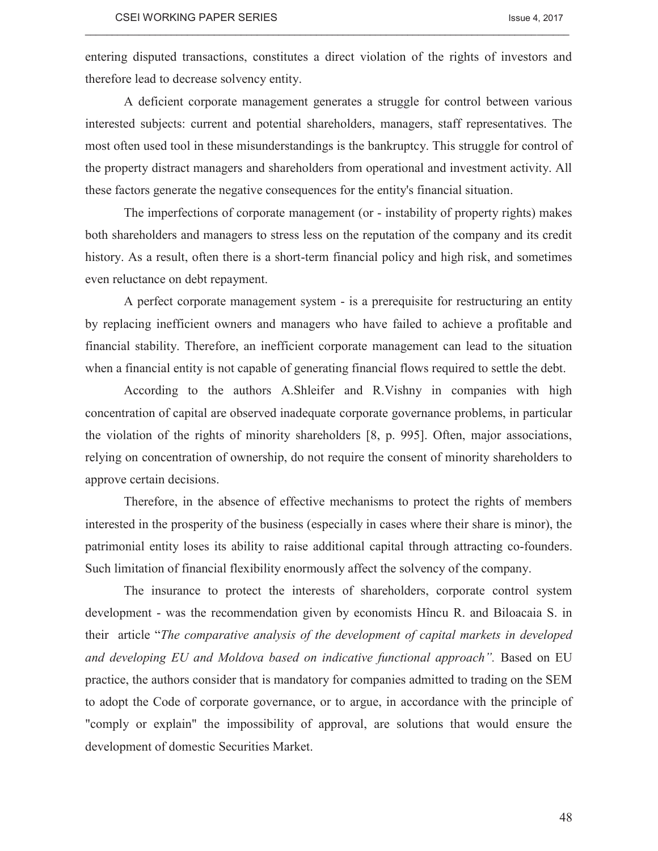entering disputed transactions, constitutes a direct violation of the rights of investors and therefore lead to decrease solvency entity.

 $\_$  , and the state of the state of the state of the state of the state of the state of the state of the state of the state of the state of the state of the state of the state of the state of the state of the state of the

A deficient corporate management generates a struggle for control between various interested subjects: current and potential shareholders, managers, staff representatives. The most often used tool in these misunderstandings is the bankruptcy. This struggle for control of the property distract managers and shareholders from operational and investment activity. All these factors generate the negative consequences for the entity's financial situation.

The imperfections of corporate management (or - instability of property rights) makes both shareholders and managers to stress less on the reputation of the company and its credit history. As a result, often there is a short-term financial policy and high risk, and sometimes even reluctance on debt repayment.

A perfect corporate management system - is a prerequisite for restructuring an entity by replacing inefficient owners and managers who have failed to achieve a profitable and financial stability. Therefore, an inefficient corporate management can lead to the situation when a financial entity is not capable of generating financial flows required to settle the debt.

According to the authors A.Shleifer and R.Vishny in companies with high concentration of capital are observed inadequate corporate governance problems, in particular the violation of the rights of minority shareholders [8, p. 995]. Often, major associations, relying on concentration of ownership, do not require the consent of minority shareholders to approve certain decisions.

Therefore, in the absence of effective mechanisms to protect the rights of members interested in the prosperity of the business (especially in cases where their share is minor), the patrimonial entity loses its ability to raise additional capital through attracting co-founders. Such limitation of financial flexibility enormously affect the solvency of the company.

The insurance to protect the interests of shareholders, corporate control system development - was the recommendation given by economists Hîncu R. and Biloacaia S. in their article "*The comparative analysis of the development of capital markets in developed and developing EU and Moldova based on indicative functional approach".* Based on EU practice, the authors consider that is mandatory for companies admitted to trading on the SEM to adopt the Code of corporate governance, or to argue, in accordance with the principle of "comply or explain" the impossibility of approval, are solutions that would ensure the development of domestic Securities Market.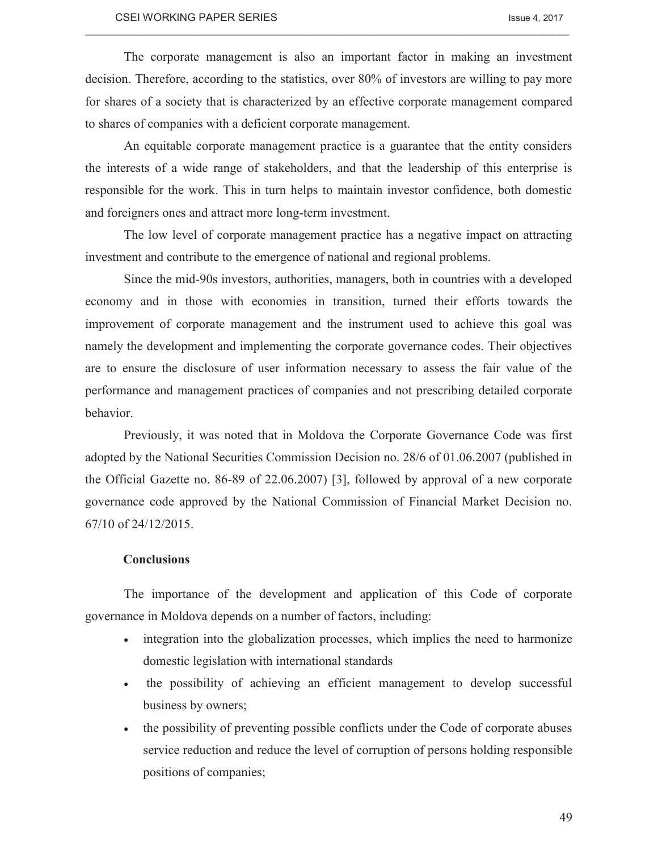The corporate management is also an important factor in making an investment decision. Therefore, according to the statistics, over 80% of investors are willing to pay more for shares of a society that is characterized by an effective corporate management compared to shares of companies with a deficient corporate management.

 $\_$  , and the state of the state of the state of the state of the state of the state of the state of the state of the state of the state of the state of the state of the state of the state of the state of the state of the

An equitable corporate management practice is a guarantee that the entity considers the interests of a wide range of stakeholders, and that the leadership of this enterprise is responsible for the work. This in turn helps to maintain investor confidence, both domestic and foreigners ones and attract more long-term investment.

The low level of corporate management practice has a negative impact on attracting investment and contribute to the emergence of national and regional problems.

Since the mid-90s investors, authorities, managers, both in countries with a developed economy and in those with economies in transition, turned their efforts towards the improvement of corporate management and the instrument used to achieve this goal was namely the development and implementing the corporate governance codes. Their objectives are to ensure the disclosure of user information necessary to assess the fair value of the performance and management practices of companies and not prescribing detailed corporate behavior.

Previously, it was noted that in Moldova the Corporate Governance Code was first adopted by the National Securities Commission Decision no. 28/6 of 01.06.2007 (published in the Official Gazette no. 86-89 of 22.06.2007) [3], followed by approval of a new corporate governance code approved by the National Commission of Financial Market Decision no. 67/10 of 24/12/2015.

#### **Conclusions**

The importance of the development and application of this Code of corporate governance in Moldova depends on a number of factors, including:

- integration into the globalization processes, which implies the need to harmonize domestic legislation with international standards
- the possibility of achieving an efficient management to develop successful business by owners;
- · the possibility of preventing possible conflicts under the Code of corporate abuses service reduction and reduce the level of corruption of persons holding responsible positions of companies;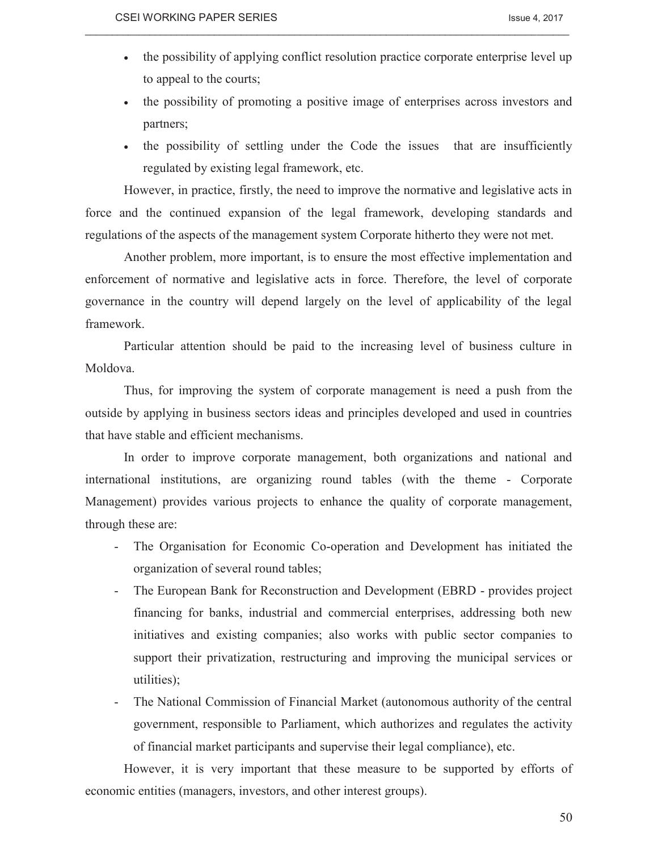• the possibility of applying conflict resolution practice corporate enterprise level up to appeal to the courts;

 $\_$  , and the state of the state of the state of the state of the state of the state of the state of the state of the state of the state of the state of the state of the state of the state of the state of the state of the

- · the possibility of promoting a positive image of enterprises across investors and partners;
- · the possibility of settling under the Code the issues that are insufficiently regulated by existing legal framework, etc.

However, in practice, firstly, the need to improve the normative and legislative acts in force and the continued expansion of the legal framework, developing standards and regulations of the aspects of the management system Corporate hitherto they were not met.

Another problem, more important, is to ensure the most effective implementation and enforcement of normative and legislative acts in force. Therefore, the level of corporate governance in the country will depend largely on the level of applicability of the legal framework.

Particular attention should be paid to the increasing level of business culture in Moldova.

Thus, for improving the system of corporate management is need a push from the outside by applying in business sectors ideas and principles developed and used in countries that have stable and efficient mechanisms.

In order to improve corporate management, both organizations and national and international institutions, are organizing round tables (with the theme - Corporate Management) provides various projects to enhance the quality of corporate management, through these are:

- The Organisation for Economic Co-operation and Development has initiated the organization of several round tables;
- The European Bank for Reconstruction and Development (EBRD provides project financing for banks, industrial and commercial enterprises, addressing both new initiatives and existing companies; also works with public sector companies to support their privatization, restructuring and improving the municipal services or utilities);
- The National Commission of Financial Market (autonomous authority of the central government, responsible to Parliament, which authorizes and regulates the activity of financial market participants and supervise their legal compliance), etc.

However, it is very important that these measure to be supported by efforts of economic entities (managers, investors, and other interest groups).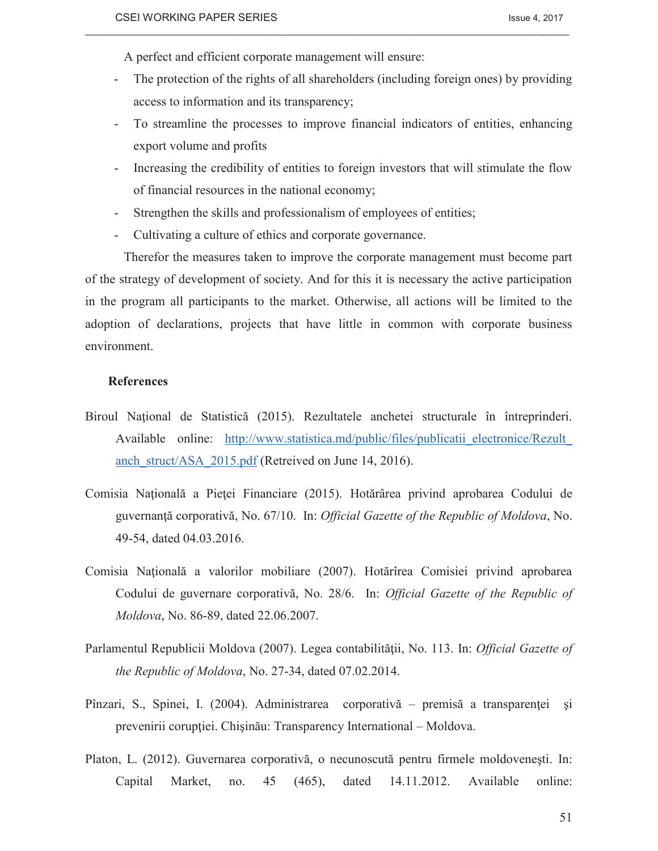A perfect and efficient corporate management will ensure:

The protection of the rights of all shareholders (including foreign ones) by providing access to information and its transparency;

 $\_$  , and the state of the state of the state of the state of the state of the state of the state of the state of the state of the state of the state of the state of the state of the state of the state of the state of the

- To streamline the processes to improve financial indicators of entities, enhancing export volume and profits
- Increasing the credibility of entities to foreign investors that will stimulate the flow of financial resources in the national economy;
- Strengthen the skills and professionalism of employees of entities;
- Cultivating a culture of ethics and corporate governance.

Therefor the measures taken to improve the corporate management must become part of the strategy of development of society. And for this it is necessary the active participation in the program all participants to the market. Otherwise, all actions will be limited to the adoption of declarations, projects that have little in common with corporate business environment.

#### **References**

- Biroul Naţional de Statistică (2015). Rezultatele anchetei structurale în întreprinderi. Available online: http://www.statistica.md/public/files/publicatii electronice/Rezult anch struct/ASA 2015.pdf (Retreived on June 14, 2016).
- Comisia Naţională a Pieţei Financiare (2015). Hotărârea privind aprobarea Codului de guvernanţă corporativă, No. 67/10. In: *Official Gazette of the Republic of Moldova*, No. 49-54, dated 04.03.2016.
- Comisia Naţională a valorilor mobiliare (2007). Hotărîrea Comisiei privind aprobarea Codului de guvernare corporativă, No. 28/6. In: *Official Gazette of the Republic of Moldova*, No. 86-89, dated 22.06.2007.
- Parlamentul Republicii Moldova (2007). Legea contabilităţii, No. 113. In: *Official Gazette of the Republic of Moldova*, No. 27-34, dated 07.02.2014.
- Pînzari, S., Spinei, I. (2004). Administrarea corporativă premisă a transparenţei şi prevenirii corupției. Chișinău: Transparency International – Moldova.
- Platon, L. (2012). Guvernarea corporativă, o necunoscută pentru firmele moldoveneşti. In: Capital Market, no. 45 (465), dated 14.11.2012. Available online: